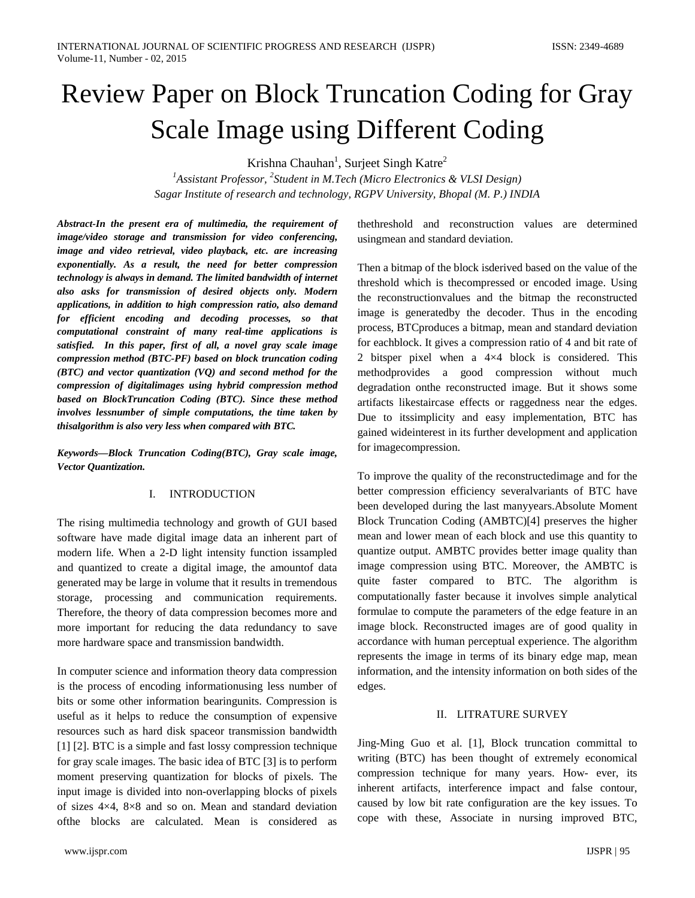# Review Paper on Block Truncation Coding for Gray Scale Image using Different Coding

Krishna Chauhan<sup>1</sup>, Surjeet Singh Katre<sup>2</sup>

*1 Assistant Professor, <sup>2</sup> Student in M.Tech (Micro Electronics & VLSI Design) Sagar Institute of research and technology, RGPV University, Bhopal (M. P.) INDIA*

*Abstract-In the present era of multimedia, the requirement of image/video storage and transmission for video conferencing, image and video retrieval, video playback, etc. are increasing exponentially. As a result, the need for better compression technology is always in demand. The limited bandwidth of internet also asks for transmission of desired objects only. Modern applications, in addition to high compression ratio, also demand for efficient encoding and decoding processes, so that computational constraint of many real-time applications is satisfied. In this paper, first of all, a novel gray scale image compression method (BTC-PF) based on block truncation coding (BTC) and vector quantization (VQ) and second method for the compression of digitalimages using hybrid compression method based on BlockTruncation Coding (BTC). Since these method involves lessnumber of simple computations, the time taken by thisalgorithm is also very less when compared with BTC.*

*Keywords—Block Truncation Coding(BTC), Gray scale image, Vector Quantization.*

# I. INTRODUCTION

The rising multimedia technology and growth of GUI based software have made digital image data an inherent part of modern life. When a 2-D light intensity function issampled and quantized to create a digital image, the amountof data generated may be large in volume that it results in tremendous storage, processing and communication requirements. Therefore, the theory of data compression becomes more and more important for reducing the data redundancy to save more hardware space and transmission bandwidth.

In computer science and information theory data compression is the process of encoding informationusing less number of bits or some other information bearingunits. Compression is useful as it helps to reduce the consumption of expensive resources such as hard disk spaceor transmission bandwidth [1] [2]. BTC is a simple and fast lossy compression technique for gray scale images. The basic idea of BTC [3] is to perform moment preserving quantization for blocks of pixels. The input image is divided into non-overlapping blocks of pixels of sizes 4×4, 8×8 and so on. Mean and standard deviation ofthe blocks are calculated. Mean is considered as

thethreshold and reconstruction values are determined usingmean and standard deviation.

Then a bitmap of the block isderived based on the value of the threshold which is thecompressed or encoded image. Using the reconstructionvalues and the bitmap the reconstructed image is generatedby the decoder. Thus in the encoding process, BTCproduces a bitmap, mean and standard deviation for eachblock. It gives a compression ratio of 4 and bit rate of 2 bitsper pixel when a 4×4 block is considered. This methodprovides a good compression without much degradation onthe reconstructed image. But it shows some artifacts likestaircase effects or raggedness near the edges. Due to itssimplicity and easy implementation, BTC has gained wideinterest in its further development and application for imagecompression.

To improve the quality of the reconstructedimage and for the better compression efficiency severalvariants of BTC have been developed during the last manyyears.Absolute Moment Block Truncation Coding (AMBTC)[4] preserves the higher mean and lower mean of each block and use this quantity to quantize output. AMBTC provides better image quality than image compression using BTC. Moreover, the AMBTC is quite faster compared to BTC. The algorithm is computationally faster because it involves simple analytical formulae to compute the parameters of the edge feature in an image block. Reconstructed images are of good quality in accordance with human perceptual experience. The algorithm represents the image in terms of its binary edge map, mean information, and the intensity information on both sides of the edges.

### II. LITRATURE SURVEY

Jing-Ming Guo et al. [1], Block truncation committal to writing (BTC) has been thought of extremely economical compression technique for many years. How- ever, its inherent artifacts, interference impact and false contour, caused by low bit rate configuration are the key issues. To cope with these, Associate in nursing improved BTC,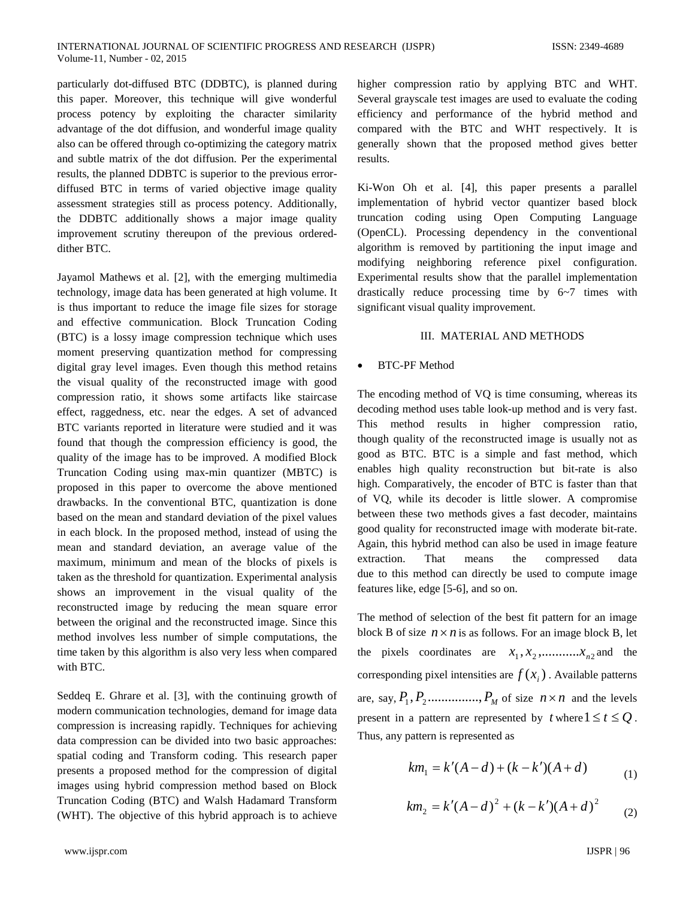particularly dot-diffused BTC (DDBTC), is planned during this paper. Moreover, this technique will give wonderful process potency by exploiting the character similarity advantage of the dot diffusion, and wonderful image quality also can be offered through co-optimizing the category matrix and subtle matrix of the dot diffusion. Per the experimental results, the planned DDBTC is superior to the previous errordiffused BTC in terms of varied objective image quality assessment strategies still as process potency. Additionally, the DDBTC additionally shows a major image quality improvement scrutiny thereupon of the previous ordereddither BTC.

Jayamol Mathews et al. [2], with the emerging multimedia technology, image data has been generated at high volume. It is thus important to reduce the image file sizes for storage and effective communication. Block Truncation Coding (BTC) is a lossy image compression technique which uses moment preserving quantization method for compressing digital gray level images. Even though this method retains the visual quality of the reconstructed image with good compression ratio, it shows some artifacts like staircase effect, raggedness, etc. near the edges. A set of advanced BTC variants reported in literature were studied and it was found that though the compression efficiency is good, the quality of the image has to be improved. A modified Block Truncation Coding using max-min quantizer (MBTC) is proposed in this paper to overcome the above mentioned drawbacks. In the conventional BTC, quantization is done based on the mean and standard deviation of the pixel values in each block. In the proposed method, instead of using the mean and standard deviation, an average value of the maximum, minimum and mean of the blocks of pixels is taken as the threshold for quantization. Experimental analysis shows an improvement in the visual quality of the reconstructed image by reducing the mean square error between the original and the reconstructed image. Since this method involves less number of simple computations, the time taken by this algorithm is also very less when compared with BTC.

Seddeq E. Ghrare et al. [3], with the continuing growth of modern communication technologies, demand for image data compression is increasing rapidly. Techniques for achieving data compression can be divided into two basic approaches: spatial coding and Transform coding. This research paper presents a proposed method for the compression of digital images using hybrid compression method based on Block Truncation Coding (BTC) and Walsh Hadamard Transform (WHT). The objective of this hybrid approach is to achieve

higher compression ratio by applying BTC and WHT. Several grayscale test images are used to evaluate the coding efficiency and performance of the hybrid method and compared with the BTC and WHT respectively. It is generally shown that the proposed method gives better results.

Ki-Won Oh et al. [4], this paper presents a parallel implementation of hybrid vector quantizer based block truncation coding using Open Computing Language (OpenCL). Processing dependency in the conventional algorithm is removed by partitioning the input image and modifying neighboring reference pixel configuration. Experimental results show that the parallel implementation drastically reduce processing time by 6~7 times with significant visual quality improvement.

## III. MATERIAL AND METHODS

#### • BTC-PF Method

The encoding method of VQ is time consuming, whereas its decoding method uses table look-up method and is very fast. This method results in higher compression ratio, though quality of the reconstructed image is usually not as good as BTC. BTC is a simple and fast method, which enables high quality reconstruction but bit-rate is also high. Comparatively, the encoder of BTC is faster than that of VQ, while its decoder is little slower. A compromise between these two methods gives a fast decoder, maintains good quality for reconstructed image with moderate bit-rate. Again, this hybrid method can also be used in image feature extraction. That means the compressed data due to this method can directly be used to compute image features like, edge [5-6], and so on.

The method of selection of the best fit pattern for an image block B of size  $n \times n$  is as follows. For an image block B, let the pixels coordinates are  $x_1, x_2, \dots, x_{n2}$  and the corresponding pixel intensities are  $f(x_i)$ . Available patterns are, say,  $P_1$ ,  $P_2$ ..............,  $P_M$  of size  $n \times n$  and the levels present in a pattern are represented by  $t$  where  $1 \le t \le Q$ . Thus, any pattern is represented as

$$
km_1 = k'(A - d) + (k - k')(A + d)
$$
 (1)

$$
km_2 = k'(A-d)^2 + (k-k')(A+d)^2 \qquad (2)
$$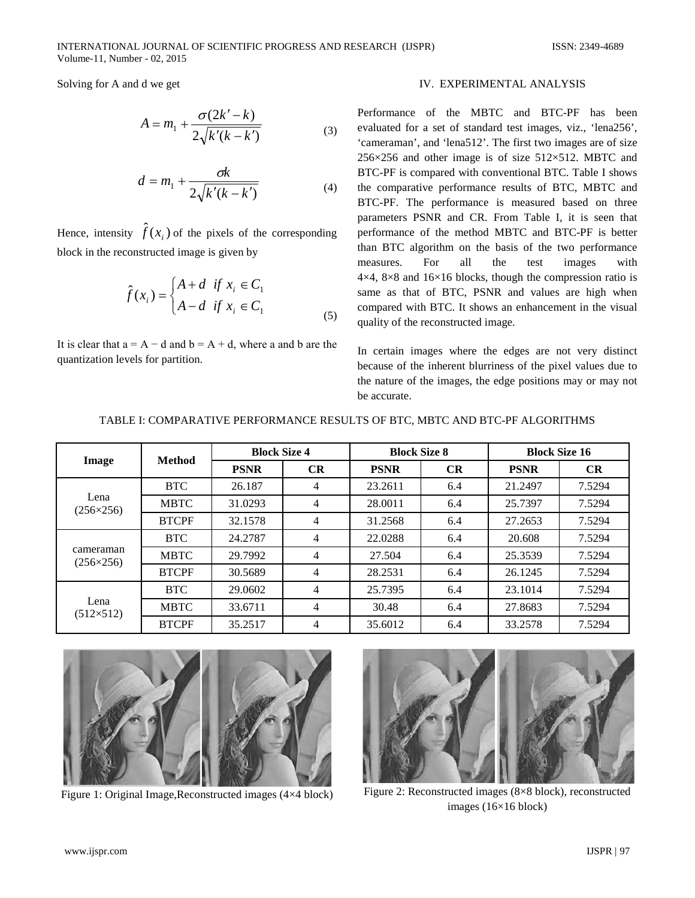Solving for A and d we get

$$
A = m_1 + \frac{\sigma(2k' - k)}{2\sqrt{k'(k - k')}}
$$
 (3)

$$
d = m_1 + \frac{\sigma k}{2\sqrt{k'(k - k')}}
$$
\n
$$
(4)
$$

Hence, intensity  $\hat{f}(x_i)$  of the pixels of the corresponding block in the reconstructed image is given by

$$
\hat{f}(x_i) = \begin{cases} A + d & \text{if } x_i \in C_1 \\ A - d & \text{if } x_i \in C_1 \end{cases}
$$
\n(5)

It is clear that  $a = A - d$  and  $b = A + d$ , where a and b are the quantization levels for partition.

#### IV. EXPERIMENTAL ANALYSIS

Performance of the MBTC and BTC-PF has been evaluated for a set of standard test images, viz., 'lena256', 'cameraman', and 'lena512'. The first two images are of size  $256\times256$  and other image is of size  $512\times512$ . MBTC and BTC-PF is compared with conventional BTC. Table I shows the comparative performance results of BTC, MBTC and BTC-PF. The performance is measured based on three parameters PSNR and CR. From Table I, it is seen that performance of the method MBTC and BTC-PF is better than BTC algorithm on the basis of the two performance measures. For all the test images with  $4\times4$ ,  $8\times8$  and  $16\times16$  blocks, though the compression ratio is same as that of BTC, PSNR and values are high when compared with BTC. It shows an enhancement in the visual quality of the reconstructed image.

In certain images where the edges are not very distinct because of the inherent blurriness of the pixel values due to the nature of the images, the edge positions may or may not be accurate.

| Image                         | <b>Method</b> | <b>Block Size 4</b> |                | <b>Block Size 8</b> |           | <b>Block Size 16</b> |        |
|-------------------------------|---------------|---------------------|----------------|---------------------|-----------|----------------------|--------|
|                               |               | <b>PSNR</b>         | CR             | <b>PSNR</b>         | <b>CR</b> | <b>PSNR</b>          | CR     |
| Lena<br>$(256 \times 256)$    | <b>BTC</b>    | 26.187              | 4              | 23.2611             | 6.4       | 21.2497              | 7.5294 |
|                               | <b>MBTC</b>   | 31.0293             | 4              | 28.0011             | 6.4       | 25.7397              | 7.5294 |
|                               | <b>BTCPF</b>  | 32.1578             | 4              | 31.2568             | 6.4       | 27.2653              | 7.5294 |
| cameraman<br>$(256\times256)$ | <b>BTC</b>    | 24.2787             | 4              | 22.0288             | 6.4       | 20.608               | 7.5294 |
|                               | <b>MBTC</b>   | 29.7992             | 4              | 27.504              | 6.4       | 25.3539              | 7.5294 |
|                               | <b>BTCPF</b>  | 30.5689             | $\overline{4}$ | 28.2531             | 6.4       | 26.1245              | 7.5294 |
| Lena<br>$(512\times512)$      | <b>BTC</b>    | 29.0602             | $\overline{4}$ | 25.7395             | 6.4       | 23.1014              | 7.5294 |
|                               | <b>MBTC</b>   | 33.6711             | $\overline{4}$ | 30.48               | 6.4       | 27.8683              | 7.5294 |
|                               | <b>BTCPF</b>  | 35.2517             | 4              | 35.6012             | 6.4       | 33.2578              | 7.5294 |

#### TABLE I: COMPARATIVE PERFORMANCE RESULTS OF BTC, MBTC AND BTC-PF ALGORITHMS





Figure 1: Original Image,Reconstructed images (4×4 block) Figure 2: Reconstructed images (8×8 block), reconstructed images (16×16 block)